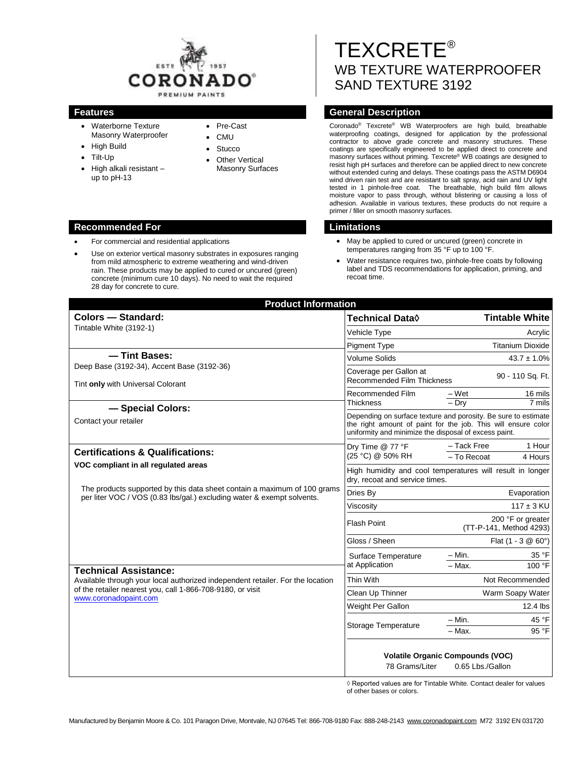

- Waterborne Texture Masonry Waterproofer
- High Build
- Tilt-Up
- High alkali resistant up to pH-13

#### Pre-Cast

- CMU
- Stucco
- Other Vertical Masonry Surfaces

# TEXCRETE® WB TEXTURE WATERPROOFER SAND TEXTURE 3192

# **Features General Description**

Coronado® Texcrete® WB Waterproofers are high build, breathable waterproofing coatings, designed for application by the professional contractor to above grade concrete and masonry structures. These coatings are specifically engineered to be applied direct to concrete and masonry surfaces without priming. Texcrete® WB coatings are designed to resist high pH surfaces and therefore can be applied direct to new concrete without extended curing and delays. These coatings pass the ASTM D6904 wind driven rain test and are resistant to salt spray, acid rain and UV light tested in 1 pinhole-free coat. The breathable, high build film allows moisture vapor to pass through, without blistering or causing a loss of adhesion. Available in various textures, these products do not require a primer / filler on smooth masonry surfaces.

- May be applied to cured or uncured (green) concrete in temperatures ranging from 35 °F up to 100 °F.
- Water resistance requires two, pinhole-free coats by following label and TDS recommendations for application, priming, and recoat time.

| <b>Product Information</b>                                                                                                                                                                                                                                                                                                                                  |                                                                                                                                                                                          |                                                             |
|-------------------------------------------------------------------------------------------------------------------------------------------------------------------------------------------------------------------------------------------------------------------------------------------------------------------------------------------------------------|------------------------------------------------------------------------------------------------------------------------------------------------------------------------------------------|-------------------------------------------------------------|
| Colors - Standard:                                                                                                                                                                                                                                                                                                                                          | Technical Data $\Diamond$                                                                                                                                                                | <b>Tintable White</b>                                       |
| Tintable White (3192-1)                                                                                                                                                                                                                                                                                                                                     | Vehicle Type                                                                                                                                                                             | Acrylic                                                     |
|                                                                                                                                                                                                                                                                                                                                                             | <b>Pigment Type</b>                                                                                                                                                                      | <b>Titanium Dioxide</b>                                     |
| - Tint Bases:<br>Deep Base (3192-34), Accent Base (3192-36)<br>Tint only with Universal Colorant                                                                                                                                                                                                                                                            | <b>Volume Solids</b>                                                                                                                                                                     | $43.7 \pm 1.0\%$                                            |
|                                                                                                                                                                                                                                                                                                                                                             | Coverage per Gallon at<br><b>Recommended Film Thickness</b>                                                                                                                              | 90 - 110 Sq. Ft.                                            |
|                                                                                                                                                                                                                                                                                                                                                             | Recommended Film                                                                                                                                                                         | $-Wet$<br>16 mils                                           |
| - Special Colors:                                                                                                                                                                                                                                                                                                                                           | <b>Thickness</b>                                                                                                                                                                         | $-$ Drv<br>7 mils                                           |
| Contact your retailer                                                                                                                                                                                                                                                                                                                                       | Depending on surface texture and porosity. Be sure to estimate<br>the right amount of paint for the job. This will ensure color<br>uniformity and minimize the disposal of excess paint. |                                                             |
| <b>Certifications &amp; Qualifications:</b>                                                                                                                                                                                                                                                                                                                 | Dry Time @ 77 °F<br>(25 °C) @ 50% RH                                                                                                                                                     | - Tack Free<br>1 Hour<br>- To Recoat<br>4 Hours             |
| VOC compliant in all regulated areas                                                                                                                                                                                                                                                                                                                        | High humidity and cool temperatures will result in longer<br>dry, recoat and service times.                                                                                              |                                                             |
| The products supported by this data sheet contain a maximum of 100 grams<br>per liter VOC / VOS (0.83 lbs/gal.) excluding water & exempt solvents.<br><b>Technical Assistance:</b><br>Available through your local authorized independent retailer. For the location<br>of the retailer nearest you, call 1-866-708-9180, or visit<br>www.coronadopaint.com | Dries By                                                                                                                                                                                 | Evaporation                                                 |
|                                                                                                                                                                                                                                                                                                                                                             | Viscosity                                                                                                                                                                                | $117 \pm 3$ KU                                              |
|                                                                                                                                                                                                                                                                                                                                                             | <b>Flash Point</b>                                                                                                                                                                       | 200 °F or greater<br>(TT-P-141, Method 4293)                |
|                                                                                                                                                                                                                                                                                                                                                             | Gloss / Sheen                                                                                                                                                                            | Flat $(1 - 3 \& 60^{\circ})$                                |
|                                                                                                                                                                                                                                                                                                                                                             | Surface Temperature                                                                                                                                                                      | $- Min.$<br>35 °F                                           |
|                                                                                                                                                                                                                                                                                                                                                             | at Application                                                                                                                                                                           | $-$ Max.<br>100 °F                                          |
|                                                                                                                                                                                                                                                                                                                                                             | Thin With                                                                                                                                                                                | Not Recommended                                             |
|                                                                                                                                                                                                                                                                                                                                                             | Clean Up Thinner                                                                                                                                                                         | Warm Soapy Water                                            |
|                                                                                                                                                                                                                                                                                                                                                             | Weight Per Gallon                                                                                                                                                                        | 12.4 lbs                                                    |
|                                                                                                                                                                                                                                                                                                                                                             | Storage Temperature                                                                                                                                                                      | $- Min.$<br>45 °F                                           |
|                                                                                                                                                                                                                                                                                                                                                             |                                                                                                                                                                                          | $-$ Max.<br>95 °F                                           |
|                                                                                                                                                                                                                                                                                                                                                             | 78 Grams/Liter                                                                                                                                                                           | <b>Volatile Organic Compounds (VOC)</b><br>0.65 Lbs./Gallon |

◊ Reported values are for Tintable White. Contact dealer for values of other bases or colors.

# **Recommended For Limitations**

- For commercial and residential applications
- Use on exterior vertical masonry substrates in exposures ranging from mild atmospheric to extreme weathering and wind-driven rain. These products may be applied to cured or uncured (green) concrete (minimum cure 10 days). No need to wait the required 28 day for concrete to cure.